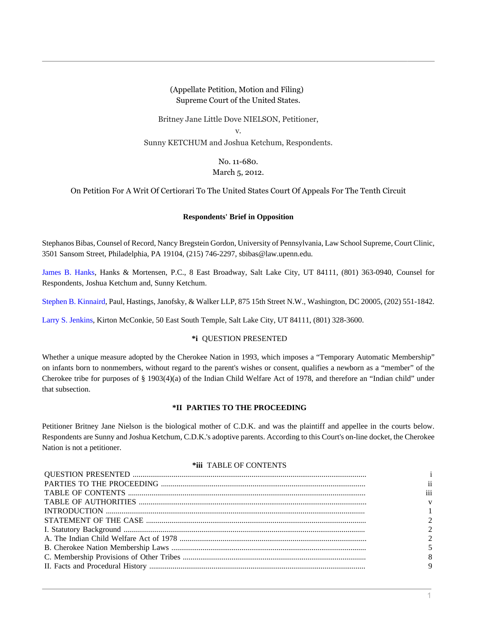(Appellate Petition, Motion and Filing) Supreme Court of the United States.

Britney Jane Little Dove NIELSON, Petitioner,

v.

Sunny KETCHUM and Joshua Ketchum, Respondents.

No. 11-680. March 5, 2012.

On Petition For A Writ Of Certiorari To The United States Court Of Appeals For The Tenth Circuit

### **Respondents' Brief in Opposition**

Stephanos Bibas, Counsel of Record, Nancy Bregstein Gordon, University of Pennsylvania, Law School Supreme, Court Clinic, 3501 Sansom Street, Philadelphia, PA 19104, (215) 746-2297, sbibas@law.upenn.edu.

[James B. Hanks,](http://www.westlaw.com/Link/Document/FullText?findType=h&pubNum=176284&cite=0290714601&originatingDoc=I7762e5e068cd11e1be29b2facdefeebe&refType=RQ&originationContext=document&vr=3.0&rs=cblt1.0&transitionType=DocumentItem&contextData=(sc.Search)) Hanks & Mortensen, P.C., 8 East Broadway, Salt Lake City, UT 84111, (801) 363-0940, Counsel for Respondents, Joshua Ketchum and, Sunny Ketchum.

[Stephen B. Kinnaird](http://www.westlaw.com/Link/Document/FullText?findType=h&pubNum=176284&cite=0329045101&originatingDoc=I7762e5e068cd11e1be29b2facdefeebe&refType=RQ&originationContext=document&vr=3.0&rs=cblt1.0&transitionType=DocumentItem&contextData=(sc.Search)), Paul, Hastings, Janofsky, & Walker LLP, 875 15th Street N.W., Washington, DC 20005, (202) 551-1842.

[Larry S. Jenkins](http://www.westlaw.com/Link/Document/FullText?findType=h&pubNum=176284&cite=0233869301&originatingDoc=I7762e5e068cd11e1be29b2facdefeebe&refType=RQ&originationContext=document&vr=3.0&rs=cblt1.0&transitionType=DocumentItem&contextData=(sc.Search)), Kirton McConkie, 50 East South Temple, Salt Lake City, UT 84111, (801) 328-3600.

## **\*i** QUESTION PRESENTED

Whether a unique measure adopted by the Cherokee Nation in 1993, which imposes a "Temporary Automatic Membership" on infants born to nonmembers, without regard to the parent's wishes or consent, qualifies a newborn as a "member" of the Cherokee tribe for purposes of § 1903(4)(a) of the Indian Child Welfare Act of 1978, and therefore an "Indian child" under that subsection.

## **\*II PARTIES TO THE PROCEEDING**

Petitioner Britney Jane Nielson is the biological mother of C.D.K. and was the plaintiff and appellee in the courts below. Respondents are Sunny and Joshua Ketchum, C.D.K.'s adoptive parents. According to this Court's on-line docket, the Cherokee Nation is not a petitioner.

### **\*iii** TABLE OF CONTENTS

| <sup>11</sup> |
|---------------|
| iii           |
| V             |
|               |
|               |
|               |
|               |
|               |
| 8             |
| 9             |
|               |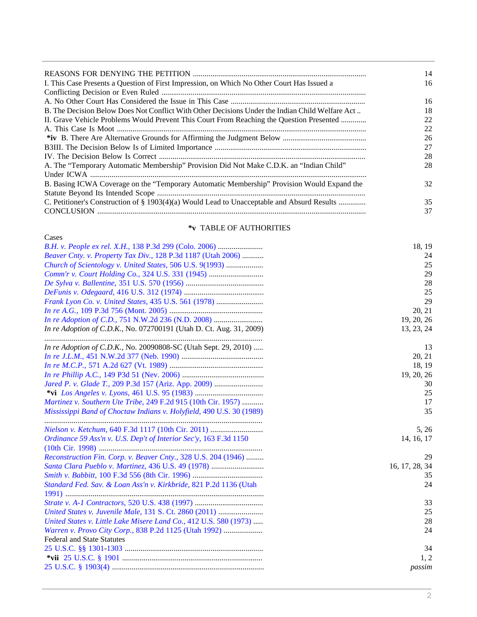|                                                                                                 | 14 |
|-------------------------------------------------------------------------------------------------|----|
| I. This Case Presents a Question of First Impression, on Which No Other Court Has Issued a      | 16 |
|                                                                                                 |    |
|                                                                                                 | 16 |
| B. The Decision Below Does Not Conflict With Other Decisions Under the Indian Child Welfare Act | 18 |
| II. Grave Vehicle Problems Would Prevent This Court From Reaching the Question Presented        | 22 |
|                                                                                                 | 22 |
|                                                                                                 | 26 |
|                                                                                                 | 27 |
|                                                                                                 | 28 |
| A. The "Temporary Automatic Membership" Provision Did Not Make C.D.K. an "Indian Child"         | 28 |
|                                                                                                 |    |
| B. Basing ICWA Coverage on the "Temporary Automatic Membership" Provision Would Expand the      | 32 |
|                                                                                                 |    |
| C. Petitioner's Construction of § 1903(4)(a) Would Lead to Unacceptable and Absurd Results      | 35 |
|                                                                                                 | 37 |
|                                                                                                 |    |

# **\*v** TABLE OF AUTHORITIES

| Cases                                                                      |                |
|----------------------------------------------------------------------------|----------------|
| <i>B.H. v. People ex rel. X.H.</i> , 138 P.3d 299 (Colo. 2006)             | 18, 19         |
| Beaver Cnty. v. Property Tax Div., 128 P.3d 1187 (Utah 2006)               | 24             |
| Church of Scientology v. United States, 506 U.S. 9(1993)                   | 25             |
|                                                                            | 29             |
|                                                                            | 28             |
|                                                                            | 25             |
|                                                                            | 29             |
|                                                                            | 20, 21         |
| In re Adoption of C.D., 751 N.W.2d 236 (N.D. 2008)                         | 19, 20, 26     |
| <i>In re Adoption of C.D.K., No. 072700191 (Utah D. Ct. Aug. 31, 2009)</i> | 13, 23, 24     |
| In re Adoption of C.D.K., No. 20090808-SC (Utah Sept. 29, 2010)            | 13             |
|                                                                            | 20, 21         |
|                                                                            | 18, 19         |
|                                                                            | 19, 20, 26     |
| Jared P. v. Glade T., 209 P.3d 157 (Ariz. App. 2009)                       | 30             |
|                                                                            | 25             |
| Martinez v. Southern Ute Tribe, 249 F.2d 915 (10th Cir. 1957)              | 17             |
| Mississippi Band of Choctaw Indians v. Holyfield, 490 U.S. 30 (1989)       | 35             |
|                                                                            | 5, 26          |
| Ordinance 59 Ass'n v. U.S. Dep't of Interior Sec'y, 163 F.3d 1150          | 14, 16, 17     |
|                                                                            |                |
| Reconstruction Fin. Corp. v. Beaver Cnty., 328 U.S. 204 (1946)             | 29             |
| Santa Clara Pueblo v. Martinez, 436 U.S. 49 (1978)                         | 16, 17, 28, 34 |
|                                                                            | 35             |
| Standard Fed. Sav. & Loan Ass'n v. Kirkbride, 821 P.2d 1136 (Utah          | 24             |
|                                                                            |                |
|                                                                            | 33             |
| United States v. Juvenile Male, 131 S. Ct. 2860 (2011)                     | 25             |
| United States v. Little Lake Misere Land Co., 412 U.S. 580 (1973)          | 28             |
| Warren v. Provo City Corp., 838 P.2d 1125 (Utah 1992)                      | 24             |
| <b>Federal and State Statutes</b>                                          |                |
|                                                                            | 34             |
|                                                                            | 1, 2           |
|                                                                            | passim         |
|                                                                            |                |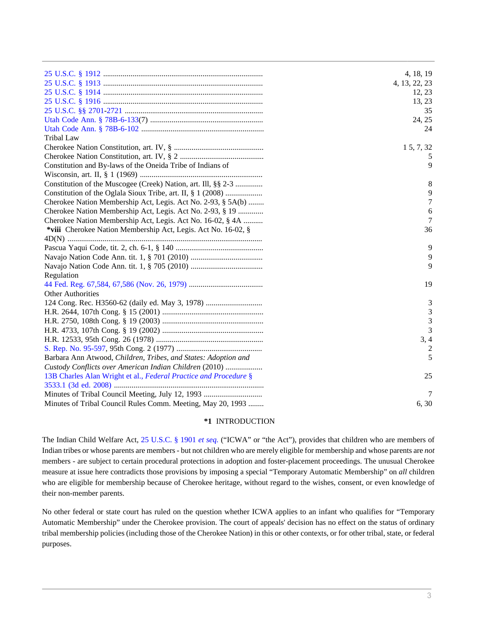|                                                                  | 4, 18, 19      |
|------------------------------------------------------------------|----------------|
|                                                                  | 4, 13, 22, 23  |
|                                                                  | 12, 23         |
|                                                                  | 13, 23         |
|                                                                  | 35             |
|                                                                  | 24, 25         |
|                                                                  | 24             |
| <b>Tribal Law</b>                                                |                |
|                                                                  | 15, 7, 32      |
|                                                                  | 5              |
| Constitution and By-laws of the Oneida Tribe of Indians of       | 9              |
|                                                                  |                |
| Constitution of the Muscogee (Creek) Nation, art. Ill, §§ 2-3    | 8              |
| Constitution of the Oglala Sioux Tribe, art. II, § 1 (2008)      | 9              |
| Cherokee Nation Membership Act, Legis. Act No. 2-93, § 5A(b)     | 7              |
| Cherokee Nation Membership Act, Legis. Act No. 2-93, § 19        | 6              |
| Cherokee Nation Membership Act, Legis. Act No. 16-02, § 4A       | 7              |
| *viii Cherokee Nation Membership Act, Legis. Act No. 16-02, §    | 36             |
|                                                                  |                |
|                                                                  | 9              |
|                                                                  | 9              |
|                                                                  | 9              |
| Regulation                                                       |                |
|                                                                  | 19             |
| <b>Other Authorities</b>                                         |                |
| 124 Cong. Rec. H3560-62 (daily ed. May 3, 1978)                  | 3              |
|                                                                  | 3              |
|                                                                  | 3              |
|                                                                  | 3              |
|                                                                  | 3, 4           |
|                                                                  | $\overline{2}$ |
| Barbara Ann Atwood, Children, Tribes, and States: Adoption and   | 5              |
| Custody Conflicts over American Indian Children (2010)           |                |
| 13B Charles Alan Wright et al., Federal Practice and Procedure § | 25             |
|                                                                  |                |
|                                                                  | 7              |
| Minutes of Tribal Council Rules Comm. Meeting, May 20, 1993      | 6, 30          |

### **\*1** INTRODUCTION

The Indian Child Welfare Act, [25 U.S.C. § 1901](http://www.westlaw.com/Link/Document/FullText?findType=L&pubNum=1000546&cite=25USCAS1901&originatingDoc=I7762e5e068cd11e1be29b2facdefeebe&refType=LQ&originationContext=document&vr=3.0&rs=cblt1.0&transitionType=DocumentItem&contextData=(sc.Search)) *et seq.* ("ICWA" or "the Act"), provides that children who are members of Indian tribes or whose parents are members - but not children who are merely eligible for membership and whose parents are *not* members - are subject to certain procedural protections in adoption and foster-placement proceedings. The unusual Cherokee measure at issue here contradicts those provisions by imposing a special "Temporary Automatic Membership" on *all* children who are eligible for membership because of Cherokee heritage, without regard to the wishes, consent, or even knowledge of their non-member parents.

No other federal or state court has ruled on the question whether ICWA applies to an infant who qualifies for "Temporary Automatic Membership" under the Cherokee provision. The court of appeals' decision has no effect on the status of ordinary tribal membership policies (including those of the Cherokee Nation) in this or other contexts, or for other tribal, state, or federal purposes.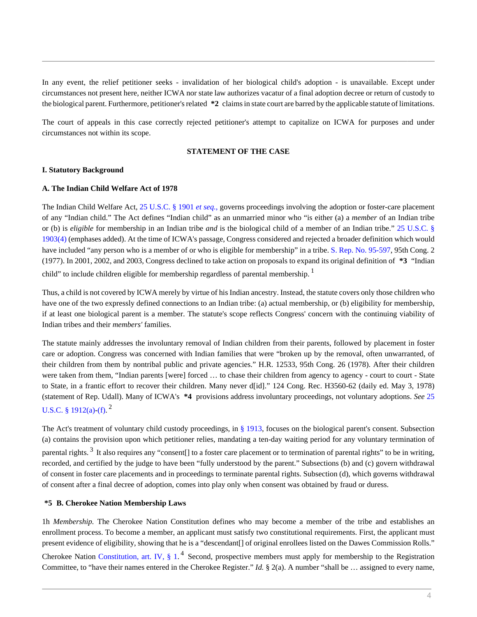In any event, the relief petitioner seeks - invalidation of her biological child's adoption - is unavailable. Except under circumstances not present here, neither ICWA nor state law authorizes vacatur of a final adoption decree or return of custody to the biological parent. Furthermore, petitioner's related **\*2** claims in state court are barred by the applicable statute of limitations.

The court of appeals in this case correctly rejected petitioner's attempt to capitalize on ICWA for purposes and under circumstances not within its scope.

### **STATEMENT OF THE CASE**

### **I. Statutory Background**

### **A. The Indian Child Welfare Act of 1978**

The Indian Child Welfare Act, [25 U.S.C. § 1901](http://www.westlaw.com/Link/Document/FullText?findType=L&pubNum=1000546&cite=25USCAS1901&originatingDoc=I7762e5e068cd11e1be29b2facdefeebe&refType=LQ&originationContext=document&vr=3.0&rs=cblt1.0&transitionType=DocumentItem&contextData=(sc.Search)) *et seq.*, governs proceedings involving the adoption or foster-care placement of any "Indian child." The Act defines "Indian child" as an unmarried minor who "is either (a) a *member* of an Indian tribe or (b) is *eligible* for membership in an Indian tribe *and* is the biological child of a member of an Indian tribe." [25 U.S.C. §](http://www.westlaw.com/Link/Document/FullText?findType=L&pubNum=1000546&cite=25USCAS1903&originationContext=document&vr=3.0&rs=cblt1.0&transitionType=DocumentItem&contextData=(sc.Search)#co_pp_0bd500007a412) [1903\(4\)](http://www.westlaw.com/Link/Document/FullText?findType=L&pubNum=1000546&cite=25USCAS1903&originationContext=document&vr=3.0&rs=cblt1.0&transitionType=DocumentItem&contextData=(sc.Search)#co_pp_0bd500007a412) (emphases added). At the time of ICWA's passage, Congress considered and rejected a broader definition which would have included "any person who is a member of or who is eligible for membership" in a tribe. [S. Rep. No. 95-597,](http://www.westlaw.com/Link/Document/FullText?findType=Y&pubNum=0001503&cite=SREP95-597&originationContext=document&vr=3.0&rs=cblt1.0&transitionType=DocumentItem&contextData=(sc.Search)) 95th Cong. 2 (1977). In 2001, 2002, and 2003, Congress declined to take action on proposals to expand its original definition of **\*3** "Indian child" to include children eligible for membership regardless of parental membership.<sup>1</sup>

Thus, a child is not covered by ICWA merely by virtue of his Indian ancestry. Instead, the statute covers only those children who have one of the two expressly defined connections to an Indian tribe: (a) actual membership, or (b) eligibility for membership, if at least one biological parent is a member. The statute's scope reflects Congress' concern with the continuing viability of Indian tribes and their *members'* families.

The statute mainly addresses the involuntary removal of Indian children from their parents, followed by placement in foster care or adoption. Congress was concerned with Indian families that were "broken up by the removal, often unwarranted, of their children from them by nontribal public and private agencies." H.R. 12533, 95th Cong. 26 (1978). After their children were taken from them, "Indian parents [were] forced ... to chase their children from agency to agency - court to court - State to State, in a frantic effort to recover their children. Many never d[id]." 124 Cong. Rec. H3560-62 (daily ed. May 3, 1978) (statement of Rep. Udall). Many of ICWA's **\*4** provisions address involuntary proceedings, not voluntary adoptions. *See* [25](http://www.westlaw.com/Link/Document/FullText?findType=L&pubNum=1000546&cite=25USCAS1912&originationContext=document&vr=3.0&rs=cblt1.0&transitionType=DocumentItem&contextData=(sc.Search)#co_pp_8b3b0000958a4) [U.S.C. § 1912\(a\)](http://www.westlaw.com/Link/Document/FullText?findType=L&pubNum=1000546&cite=25USCAS1912&originationContext=document&vr=3.0&rs=cblt1.0&transitionType=DocumentItem&contextData=(sc.Search)#co_pp_8b3b0000958a4)[-\(f\)](http://www.westlaw.com/Link/Document/FullText?findType=L&pubNum=1000546&cite=25USCAS1912&originationContext=document&vr=3.0&rs=cblt1.0&transitionType=DocumentItem&contextData=(sc.Search)#co_pp_ae0d0000c5150).<sup>2</sup>

The Act's treatment of voluntary child custody proceedings, in [§ 1913](http://www.westlaw.com/Link/Document/FullText?findType=L&pubNum=1000546&cite=25USCAS1913&originatingDoc=I7762e5e068cd11e1be29b2facdefeebe&refType=LQ&originationContext=document&vr=3.0&rs=cblt1.0&transitionType=DocumentItem&contextData=(sc.Search)), focuses on the biological parent's consent. Subsection (a) contains the provision upon which petitioner relies, mandating a ten-day waiting period for any voluntary termination of parental rights.<sup>3</sup> It also requires any "consent[] to a foster care placement or to termination of parental rights" to be in writing, recorded, and certified by the judge to have been "fully understood by the parent." Subsections (b) and (c) govern withdrawal of consent in foster care placements and in proceedings to terminate parental rights. Subsection (d), which governs withdrawal of consent after a final decree of adoption, comes into play only when consent was obtained by fraud or duress.

### **\*5 B. Cherokee Nation Membership Laws**

1h *Membership.* The Cherokee Nation Constitution defines who may become a member of the tribe and establishes an enrollment process. To become a member, an applicant must satisfy two constitutional requirements. First, the applicant must present evidence of eligibility, showing that he is a "descendant[] of original enrollees listed on the Dawes Commission Rolls."

Cherokee Nation Constitution, art. IV,  $\S 1$ .<sup>4</sup> Second, prospective members must apply for membership to the Registration Committee, to "have their names entered in the Cherokee Register." *Id.* § 2(a). A number "shall be … assigned to every name,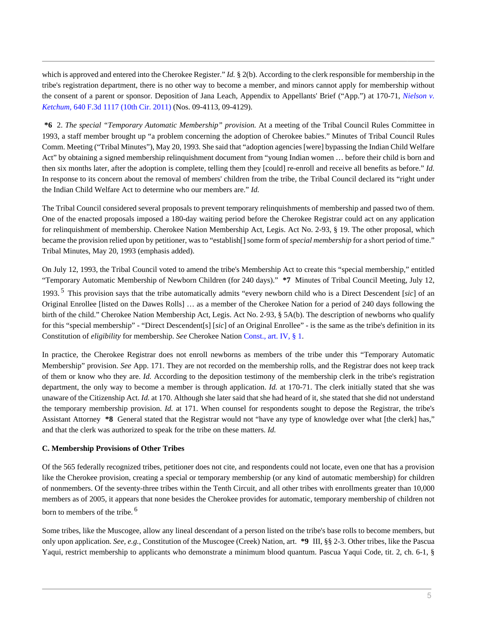which is approved and entered into the Cherokee Register." *Id.* § 2(b). According to the clerk responsible for membership in the tribe's registration department, there is no other way to become a member, and minors cannot apply for membership without the consent of a parent or sponsor. Deposition of Jana Leach, Appendix to Appellants' Brief ("App.") at 170-71, *[Nielson v.](http://www.westlaw.com/Link/Document/FullText?findType=Y&serNum=2024939947&pubNum=506&originationContext=document&vr=3.0&rs=cblt1.0&transitionType=DocumentItem&contextData=(sc.Search)) Ketchum,* [640 F.3d 1117 \(10th Cir. 2011\)](http://www.westlaw.com/Link/Document/FullText?findType=Y&serNum=2024939947&pubNum=506&originationContext=document&vr=3.0&rs=cblt1.0&transitionType=DocumentItem&contextData=(sc.Search)) (Nos. 09-4113, 09-4129).

**\*6** 2. *The special "Temporary Automatic Membership" provision.* At a meeting of the Tribal Council Rules Committee in 1993, a staff member brought up "a problem concerning the adoption of Cherokee babies." Minutes of Tribal Council Rules Comm. Meeting ("Tribal Minutes"), May 20, 1993. She said that "adoption agencies [were] bypassing the Indian Child Welfare Act" by obtaining a signed membership relinquishment document from "young Indian women … before their child is born and then six months later, after the adoption is complete, telling them they [could] re-enroll and receive all benefits as before." *Id.* In response to its concern about the removal of members' children from the tribe, the Tribal Council declared its "right under the Indian Child Welfare Act to determine who our members are." *Id.*

The Tribal Council considered several proposals to prevent temporary relinquishments of membership and passed two of them. One of the enacted proposals imposed a 180-day waiting period before the Cherokee Registrar could act on any application for relinquishment of membership. Cherokee Nation Membership Act, Legis. Act No. 2-93, § 19. The other proposal, which became the provision relied upon by petitioner, was to "establish[] some form of *special membership* for a short period of time." Tribal Minutes, May 20, 1993 (emphasis added).

On July 12, 1993, the Tribal Council voted to amend the tribe's Membership Act to create this "special membership," entitled "Temporary Automatic Membership of Newborn Children (for 240 days)." **\*7** Minutes of Tribal Council Meeting, July 12,

1993. <sup>5</sup> This provision says that the tribe automatically admits "every newborn child who is a Direct Descendent [*sic*] of an Original Enrollee [listed on the Dawes Rolls] … as a member of the Cherokee Nation for a period of 240 days following the birth of the child." Cherokee Nation Membership Act, Legis. Act No. 2-93, § 5A(b). The description of newborns who qualify for this "special membership" - "Direct Descendent[s] [*sic*] of an Original Enrollee" - is the same as the tribe's definition in its Constitution of *eligibility* for membership. *See* Cherokee Nation [Const., art. IV, § 1.](http://www.westlaw.com/Link/Document/FullText?findType=L&pubNum=1000546&cite=USCOARTIVS1&originatingDoc=I7762e5e068cd11e1be29b2facdefeebe&refType=LQ&originationContext=document&vr=3.0&rs=cblt1.0&transitionType=DocumentItem&contextData=(sc.Search))

In practice, the Cherokee Registrar does not enroll newborns as members of the tribe under this "Temporary Automatic Membership" provision. *See* App. 171. They are not recorded on the membership rolls, and the Registrar does not keep track of them or know who they are. *Id.* According to the deposition testimony of the membership clerk in the tribe's registration department, the only way to become a member is through application. *Id.* at 170-71. The clerk initially stated that she was unaware of the Citizenship Act. *Id.* at 170. Although she later said that she had heard of it, she stated that she did not understand the temporary membership provision. *Id.* at 171. When counsel for respondents sought to depose the Registrar, the tribe's Assistant Attorney **\*8** General stated that the Registrar would not "have any type of knowledge over what [the clerk] has," and that the clerk was authorized to speak for the tribe on these matters. *Id.*

## **C. Membership Provisions of Other Tribes**

Of the 565 federally recognized tribes, petitioner does not cite, and respondents could not locate, even one that has a provision like the Cherokee provision, creating a special or temporary membership (or any kind of automatic membership) for children of nonmembers. Of the seventy-three tribes within the Tenth Circuit, and all other tribes with enrollments greater than 10,000 members as of 2005, it appears that none besides the Cherokee provides for automatic, temporary membership of children not born to members of the tribe. <sup>6</sup>

Some tribes, like the Muscogee, allow any lineal descendant of a person listed on the tribe's base rolls to become members, but only upon application. *See, e.g.*, Constitution of the Muscogee (Creek) Nation, art. **\*9** III, §§ 2-3. Other tribes, like the Pascua Yaqui, restrict membership to applicants who demonstrate a minimum blood quantum. Pascua Yaqui Code, tit. 2, ch. 6-1, §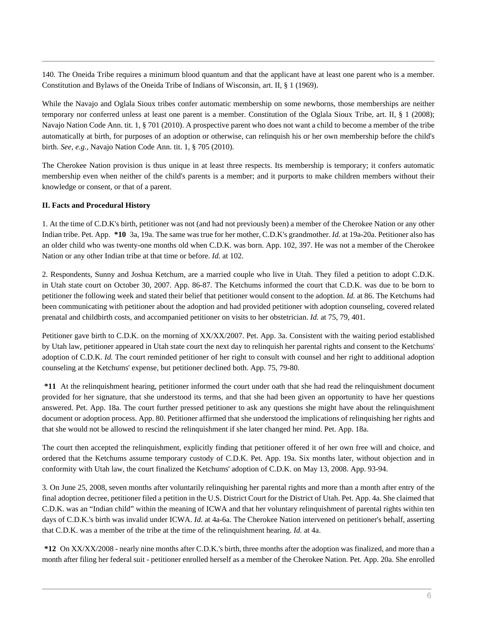140. The Oneida Tribe requires a minimum blood quantum and that the applicant have at least one parent who is a member. Constitution and Bylaws of the Oneida Tribe of Indians of Wisconsin, art. II, § 1 (1969).

While the Navajo and Oglala Sioux tribes confer automatic membership on some newborns, those memberships are neither temporary nor conferred unless at least one parent is a member. Constitution of the Oglala Sioux Tribe, art. II, § 1 (2008); Navajo Nation Code Ann. tit. 1, § 701 (2010). A prospective parent who does not want a child to become a member of the tribe automatically at birth, for purposes of an adoption or otherwise, can relinquish his or her own membership before the child's birth. *See, e.g.,* Navajo Nation Code Ann. tit. 1, § 705 (2010).

The Cherokee Nation provision is thus unique in at least three respects. Its membership is temporary; it confers automatic membership even when neither of the child's parents is a member; and it purports to make children members without their knowledge or consent, or that of a parent.

## **II. Facts and Procedural History**

1. At the time of C.D.K's birth, petitioner was not (and had not previously been) a member of the Cherokee Nation or any other Indian tribe. Pet. App. **\*10** 3a, 19a. The same was true for her mother, C.D.K's grandmother. *Id.* at 19a-20a. Petitioner also has an older child who was twenty-one months old when C.D.K. was born. App. 102, 397. He was not a member of the Cherokee Nation or any other Indian tribe at that time or before. *Id.* at 102.

2. Respondents, Sunny and Joshua Ketchum, are a married couple who live in Utah. They filed a petition to adopt C.D.K. in Utah state court on October 30, 2007. App. 86-87. The Ketchums informed the court that C.D.K. was due to be born to petitioner the following week and stated their belief that petitioner would consent to the adoption. *Id.* at 86. The Ketchums had been communicating with petitioner about the adoption and had provided petitioner with adoption counseling, covered related prenatal and childbirth costs, and accompanied petitioner on visits to her obstetrician. *Id.* at 75, 79, 401.

Petitioner gave birth to C.D.K. on the morning of XX/XX/2007. Pet. App. 3a. Consistent with the waiting period established by Utah law, petitioner appeared in Utah state court the next day to relinquish her parental rights and consent to the Ketchums' adoption of C.D.K. *Id.* The court reminded petitioner of her right to consult with counsel and her right to additional adoption counseling at the Ketchums' expense, but petitioner declined both. App. 75, 79-80.

**\*11** At the relinquishment hearing, petitioner informed the court under oath that she had read the relinquishment document provided for her signature, that she understood its terms, and that she had been given an opportunity to have her questions answered. Pet. App. 18a. The court further pressed petitioner to ask any questions she might have about the relinquishment document or adoption process. App. 80. Petitioner affirmed that she understood the implications of relinquishing her rights and that she would not be allowed to rescind the relinquishment if she later changed her mind. Pet. App. 18a.

The court then accepted the relinquishment, explicitly finding that petitioner offered it of her own free will and choice, and ordered that the Ketchums assume temporary custody of C.D.K. Pet. App. 19a. Six months later, without objection and in conformity with Utah law, the court finalized the Ketchums' adoption of C.D.K. on May 13, 2008. App. 93-94.

3. On June 25, 2008, seven months after voluntarily relinquishing her parental rights and more than a month after entry of the final adoption decree, petitioner filed a petition in the U.S. District Court for the District of Utah. Pet. App. 4a. She claimed that C.D.K. was an "Indian child" within the meaning of ICWA and that her voluntary relinquishment of parental rights within ten days of C.D.K.'s birth was invalid under ICWA. *Id.* at 4a-6a. The Cherokee Nation intervened on petitioner's behalf, asserting that C.D.K. was a member of the tribe at the time of the relinquishment hearing. *Id.* at 4a.

**\*12** On XX/XX/2008 - nearly nine months after C.D.K.'s birth, three months after the adoption was finalized, and more than a month after filing her federal suit - petitioner enrolled herself as a member of the Cherokee Nation. Pet. App. 20a. She enrolled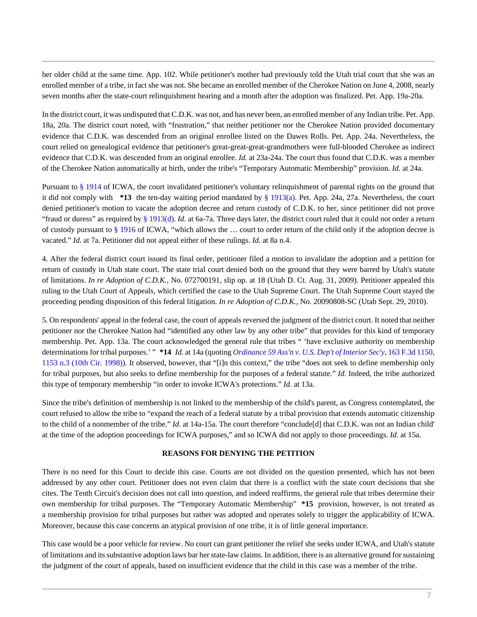her older child at the same time. App. 102. While petitioner's mother had previously told the Utah trial court that she was an enrolled member of a tribe, in fact she was not. She became an enrolled member of the Cherokee Nation on June 4, 2008, nearly seven months after the state-court relinquishment hearing and a month after the adoption was finalized. Pet. App. 19a-20a.

In the district court, it was undisputed that C.D.K. was not, and has never been, an enrolled member of any Indian tribe. Pet. App. 18a, 20a. The district court noted, with "frustration," that neither petitioner nor the Cherokee Nation provided documentary evidence that C.D.K. was descended from an original enrollee listed on the Dawes Rolls. Pet. App. 24a. Nevertheless, the court relied on genealogical evidence that petitioner's great-great-great-grandmothers were full-blooded Cherokee as indirect evidence that C.D.K. was descended from an original enrollee. *Id.* at 23a-24a. The court thus found that C.D.K. was a member of the Cherokee Nation automatically at birth, under the tribe's "Temporary Automatic Membership" provision. *Id.* at 24a.

Pursuant to [§ 1914](http://www.westlaw.com/Link/Document/FullText?findType=L&pubNum=1000546&cite=25USCAS1914&originatingDoc=I7762e5e068cd11e1be29b2facdefeebe&refType=LQ&originationContext=document&vr=3.0&rs=cblt1.0&transitionType=DocumentItem&contextData=(sc.Search)) of ICWA, the court invalidated petitioner's voluntary relinquishment of parental rights on the ground that it did not comply with **\*13** the ten-day waiting period mandated by [§ 1913\(a\).](http://www.westlaw.com/Link/Document/FullText?findType=L&pubNum=1000546&cite=25USCAS1913&originationContext=document&vr=3.0&rs=cblt1.0&transitionType=DocumentItem&contextData=(sc.Search)#co_pp_8b3b0000958a4) Pet. App. 24a, 27a. Nevertheless, the court denied petitioner's motion to vacate the adoption decree and return custody of C.D.K. to her, since petitioner did not prove "fraud or duress" as required by [§ 1913\(d\)](http://www.westlaw.com/Link/Document/FullText?findType=L&pubNum=1000546&cite=25USCAS1913&originationContext=document&vr=3.0&rs=cblt1.0&transitionType=DocumentItem&contextData=(sc.Search)#co_pp_5ba1000067d06). *Id.* at 6a-7a. Three days later, the district court ruled that it could not order a return of custody pursuant to [§ 1916](http://www.westlaw.com/Link/Document/FullText?findType=L&pubNum=1000546&cite=25USCAS1916&originatingDoc=I7762e5e068cd11e1be29b2facdefeebe&refType=LQ&originationContext=document&vr=3.0&rs=cblt1.0&transitionType=DocumentItem&contextData=(sc.Search)) of ICWA, "which allows the … court to order return of the child only if the adoption decree is vacated." *Id.* at 7a. Petitioner did not appeal either of these rulings. *Id.* at 8a n.4.

4. After the federal district court issued its final order, petitioner filed a motion to invalidate the adoption and a petition for return of custody in Utah state court. The state trial court denied both on the ground that they were barred by Utah's statute of limitations. *In re Adoption of C.D.K.,* No. 072700191, slip op. at 18 (Utah D. Ct. Aug. 31, 2009). Petitioner appealed this ruling to the Utah Court of Appeals, which certified the case to the Utah Supreme Court. The Utah Supreme Court stayed the proceeding pending disposition of this federal litigation. *In re Adoption of C.D.K.,* No. 20090808-SC (Utah Sept. 29, 2010).

5. On respondents' appeal in the federal case, the court of appeals reversed the judgment of the district court. It noted that neither petitioner nor the Cherokee Nation had "identified any other law by any other tribe" that provides for this kind of temporary membership. Pet. App. 13a. The court acknowledged the general rule that tribes " 'have exclusive authority on membership determinations for tribal purposes.' " **\*14** *Id.* at 14a (quoting *[Ordinance 59 Ass'n v. U.S. Dep't of Interior Sec'y,](http://www.westlaw.com/Link/Document/FullText?findType=Y&serNum=1998242269&pubNum=506&originationContext=document&vr=3.0&rs=cblt1.0&transitionType=DocumentItem&contextData=(sc.Search)#co_pp_sp_506_1153)* 163 F.3d 1150, [1153 n.3 \(10th Cir. 1998\)](http://www.westlaw.com/Link/Document/FullText?findType=Y&serNum=1998242269&pubNum=506&originationContext=document&vr=3.0&rs=cblt1.0&transitionType=DocumentItem&contextData=(sc.Search)#co_pp_sp_506_1153)). It observed, however, that "[i]n this context," the tribe "does not seek to define membership only for tribal purposes, but also seeks to define membership for the purposes of a federal statute." *Id.* Indeed, the tribe authorized this type of temporary membership "in order to invoke ICWA's protections." *Id.* at 13a.

Since the tribe's definition of membership is not linked to the membership of the child's parent, as Congress contemplated, the court refused to allow the tribe to "expand the reach of a federal statute by a tribal provision that extends automatic citizenship to the child of a nonmember of the tribe." *Id.* at 14a-15a. The court therefore "conclude[d] that C.D.K. was not an Indian child' at the time of the adoption proceedings for ICWA purposes," and so ICWA did not apply to those proceedings. *Id.* at 15a.

### **REASONS FOR DENYING THE PETITION**

There is no need for this Court to decide this case. Courts are not divided on the question presented, which has not been addressed by any other court. Petitioner does not even claim that there is a conflict with the state court decisions that she cites. The Tenth Circuit's decision does not call into question, and indeed reaffirms, the general rule that tribes determine their own membership for tribal purposes. The "Temporary Automatic Membership" **\*15** provision, however, is not treated as a membership provision for tribal purposes but rather was adopted and operates solely to trigger the applicability of ICWA. Moreover, because this case concerns an atypical provision of one tribe, it is of little general importance.

This case would be a poor vehicle for review. No court can grant petitioner the relief she seeks under ICWA, and Utah's statute of limitations and its substantive adoption laws bar her state-law claims. In addition, there is an alternative ground for sustaining the judgment of the court of appeals, based on insufficient evidence that the child in this case was a member of the tribe.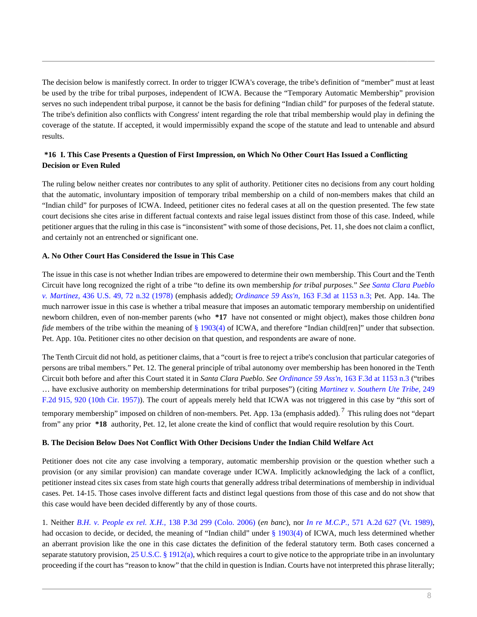The decision below is manifestly correct. In order to trigger ICWA's coverage, the tribe's definition of "member" must at least be used by the tribe for tribal purposes, independent of ICWA. Because the "Temporary Automatic Membership" provision serves no such independent tribal purpose, it cannot be the basis for defining "Indian child" for purposes of the federal statute. The tribe's definition also conflicts with Congress' intent regarding the role that tribal membership would play in defining the coverage of the statute. If accepted, it would impermissibly expand the scope of the statute and lead to untenable and absurd results.

## **\*16 I. This Case Presents a Question of First Impression, on Which No Other Court Has Issued a Conflicting Decision or Even Ruled**

The ruling below neither creates nor contributes to any split of authority. Petitioner cites no decisions from any court holding that the automatic, involuntary imposition of temporary tribal membership on a child of non-members makes that child an "Indian child" for purposes of ICWA. Indeed, petitioner cites no federal cases at all on the question presented. The few state court decisions she cites arise in different factual contexts and raise legal issues distinct from those of this case. Indeed, while petitioner argues that the ruling in this case is "inconsistent" with some of those decisions, Pet. 11, she does not claim a conflict, and certainly not an entrenched or significant one.

## **A. No Other Court Has Considered the Issue in This Case**

The issue in this case is not whether Indian tribes are empowered to determine their own membership. This Court and the Tenth Circuit have long recognized the right of a tribe "to define its own membership *for tribal purposes.*" *See [Santa Clara Pueblo](http://www.westlaw.com/Link/Document/FullText?findType=Y&serNum=1978114228&pubNum=780&originationContext=document&vr=3.0&rs=cblt1.0&transitionType=DocumentItem&contextData=(sc.Search)#co_pp_sp_780_72) v. Martinez,* [436 U.S. 49, 72 n.32 \(1978\)](http://www.westlaw.com/Link/Document/FullText?findType=Y&serNum=1978114228&pubNum=780&originationContext=document&vr=3.0&rs=cblt1.0&transitionType=DocumentItem&contextData=(sc.Search)#co_pp_sp_780_72) (emphasis added); *Ordinance 59 Ass'n,* [163 F.3d at 1153 n.3;](http://www.westlaw.com/Link/Document/FullText?findType=Y&serNum=1998242269&pubNum=506&originationContext=document&vr=3.0&rs=cblt1.0&transitionType=DocumentItem&contextData=(sc.Search)#co_pp_sp_506_1153) Pet. App. 14a. The much narrower issue in this case is whether a tribal measure that imposes an automatic temporary membership on unidentified newborn children, even of non-member parents (who **\*17** have not consented or might object), makes those children *bona fide* members of the tribe within the meaning of [§ 1903\(4\)](http://www.westlaw.com/Link/Document/FullText?findType=L&pubNum=1000546&cite=25USCAS1903&originationContext=document&vr=3.0&rs=cblt1.0&transitionType=DocumentItem&contextData=(sc.Search)#co_pp_0bd500007a412) of ICWA, and therefore "Indian child[ren]" under that subsection. Pet. App. 10a. Petitioner cites no other decision on that question, and respondents are aware of none.

The Tenth Circuit did not hold, as petitioner claims, that a "court is free to reject a tribe's conclusion that particular categories of persons are tribal members." Pet. 12. The general principle of tribal autonomy over membership has been honored in the Tenth Circuit both before and after this Court stated it in *Santa Clara Pueblo. See Ordinance 59 Ass'n,* [163 F.3d at 1153 n.3](http://www.westlaw.com/Link/Document/FullText?findType=Y&serNum=1998242269&pubNum=506&originationContext=document&vr=3.0&rs=cblt1.0&transitionType=DocumentItem&contextData=(sc.Search)#co_pp_sp_506_1153) ("tribes … have exclusive authority on membership determinations for tribal purposes") (citing *[Martinez v. Southern Ute Tribe,](http://www.westlaw.com/Link/Document/FullText?findType=Y&serNum=1958103015&pubNum=350&originationContext=document&vr=3.0&rs=cblt1.0&transitionType=DocumentItem&contextData=(sc.Search)#co_pp_sp_350_920)* 249 [F.2d 915, 920 \(10th Cir. 1957\)\)](http://www.westlaw.com/Link/Document/FullText?findType=Y&serNum=1958103015&pubNum=350&originationContext=document&vr=3.0&rs=cblt1.0&transitionType=DocumentItem&contextData=(sc.Search)#co_pp_sp_350_920). The court of appeals merely held that ICWA was not triggered in this case by "*this* sort of temporary membership" imposed on children of non-members. Pet. App. 13a (emphasis added).  $^7$  This ruling does not "depart from" any prior **\*18** authority, Pet. 12, let alone create the kind of conflict that would require resolution by this Court.

## **B. The Decision Below Does Not Conflict With Other Decisions Under the Indian Child Welfare Act**

Petitioner does not cite any case involving a temporary, automatic membership provision or the question whether such a provision (or any similar provision) can mandate coverage under ICWA. Implicitly acknowledging the lack of a conflict, petitioner instead cites six cases from state high courts that generally address tribal determinations of membership in individual cases. Pet. 14-15. Those cases involve different facts and distinct legal questions from those of this case and do not show that this case would have been decided differently by any of those courts.

1. Neither *B.H. v. People ex rel. X.H.,* [138 P.3d 299 \(Colo. 2006\)](http://www.westlaw.com/Link/Document/FullText?findType=Y&serNum=2009440799&pubNum=4645&originationContext=document&vr=3.0&rs=cblt1.0&transitionType=DocumentItem&contextData=(sc.Search)) (*en banc*), nor *In re M.C.P.,* [571 A.2d 627 \(Vt. 1989\)](http://www.westlaw.com/Link/Document/FullText?findType=Y&serNum=1990046708&pubNum=162&originationContext=document&vr=3.0&rs=cblt1.0&transitionType=DocumentItem&contextData=(sc.Search)), had occasion to decide, or decided, the meaning of "Indian child" under [§ 1903\(4\)](http://www.westlaw.com/Link/Document/FullText?findType=L&pubNum=1000546&cite=25USCAS1903&originationContext=document&vr=3.0&rs=cblt1.0&transitionType=DocumentItem&contextData=(sc.Search)#co_pp_0bd500007a412) of ICWA, much less determined whether an aberrant provision like the one in this case dictates the definition of the federal statutory term. Both cases concerned a separate statutory provision, [25 U.S.C. § 1912\(a\),](http://www.westlaw.com/Link/Document/FullText?findType=L&pubNum=1000546&cite=25USCAS1912&originationContext=document&vr=3.0&rs=cblt1.0&transitionType=DocumentItem&contextData=(sc.Search)#co_pp_8b3b0000958a4) which requires a court to give notice to the appropriate tribe in an involuntary proceeding if the court has "reason to know" that the child in question is Indian. Courts have not interpreted this phrase literally;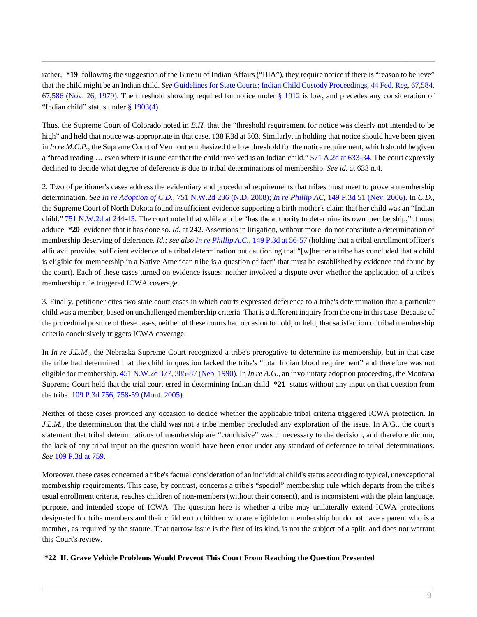rather, \*19 following the suggestion of the Bureau of Indian Affairs ("BIA"), they require notice if there is "reason to believe" that the child might be an Indian child. *See* [Guidelines for State Courts; Indian Child Custody Proceedings, 44 Fed. Reg. 67,584,](http://www.westlaw.com/Link/Document/FullText?findType=Y&serNum=0306581706&pubNum=1037&originationContext=document&vr=3.0&rs=cblt1.0&transitionType=DocumentItem&contextData=(sc.Search)#co_pp_sp_1037_67586) [67,586 \(Nov. 26, 1979\)](http://www.westlaw.com/Link/Document/FullText?findType=Y&serNum=0306581706&pubNum=1037&originationContext=document&vr=3.0&rs=cblt1.0&transitionType=DocumentItem&contextData=(sc.Search)#co_pp_sp_1037_67586). The threshold showing required for notice under  $\S$  1912 is low, and precedes any consideration of "Indian child" status under [§ 1903\(4\)](http://www.westlaw.com/Link/Document/FullText?findType=L&pubNum=1000546&cite=25USCAS1903&originationContext=document&vr=3.0&rs=cblt1.0&transitionType=DocumentItem&contextData=(sc.Search)#co_pp_0bd500007a412).

Thus, the Supreme Court of Colorado noted in *B.H.* that the "threshold requirement for notice was clearly not intended to be high" and held that notice was appropriate in that case. 138 R3d at 303. Similarly, in holding that notice should have been given in *In re M.C.P.*, the Supreme Court of Vermont emphasized the low threshold for the notice requirement, which should be given a "broad reading ... even where it is unclear that the child involved is an Indian child." [571 A.2d at 633-34.](http://www.westlaw.com/Link/Document/FullText?findType=Y&serNum=1990046708&pubNum=162&originationContext=document&vr=3.0&rs=cblt1.0&transitionType=DocumentItem&contextData=(sc.Search)#co_pp_sp_162_633) The court expressly declined to decide what degree of deference is due to tribal determinations of membership. *See id.* at 633 n.4.

2. Two of petitioner's cases address the evidentiary and procedural requirements that tribes must meet to prove a membership determination. *See In re Adoption of C.D.,* [751 N.W.2d 236 \(N.D. 2008\);](http://www.westlaw.com/Link/Document/FullText?findType=Y&serNum=2016386663&pubNum=595&originationContext=document&vr=3.0&rs=cblt1.0&transitionType=DocumentItem&contextData=(sc.Search)) *In re Phillip AC,* [149 P.3d 51 \(Nev. 2006\)](http://www.westlaw.com/Link/Document/FullText?findType=Y&serNum=2010992156&pubNum=4645&originationContext=document&vr=3.0&rs=cblt1.0&transitionType=DocumentItem&contextData=(sc.Search)). In *C.D.,* the Supreme Court of North Dakota found insufficient evidence supporting a birth mother's claim that her child was an "Indian child." [751 N.W.2d at 244-45.](http://www.westlaw.com/Link/Document/FullText?findType=Y&serNum=2016386663&pubNum=595&originationContext=document&vr=3.0&rs=cblt1.0&transitionType=DocumentItem&contextData=(sc.Search)#co_pp_sp_595_244) The court noted that while a tribe "has the authority to determine its own membership," it must adduce **\*20** evidence that it has done so. *Id.* at 242. Assertions in litigation, without more, do not constitute a determination of membership deserving of deference. *Id.; see also In re Phillip A.C.,* [149 P.3d at 56-57](http://www.westlaw.com/Link/Document/FullText?findType=Y&serNum=2010992156&pubNum=4645&originationContext=document&vr=3.0&rs=cblt1.0&transitionType=DocumentItem&contextData=(sc.Search)#co_pp_sp_4645_56) (holding that a tribal enrollment officer's affidavit provided sufficient evidence of a tribal determination but cautioning that "[w]hether a tribe has concluded that a child is eligible for membership in a Native American tribe is a question of fact" that must be established by evidence and found by the court). Each of these cases turned on evidence issues; neither involved a dispute over whether the application of a tribe's membership rule triggered ICWA coverage.

3. Finally, petitioner cites two state court cases in which courts expressed deference to a tribe's determination that a particular child was a member, based on unchallenged membership criteria. That is a different inquiry from the one in this case. Because of the procedural posture of these cases, neither of these courts had occasion to hold, or held, that satisfaction of tribal membership criteria conclusively triggers ICWA coverage.

In *In re J.L.M.*, the Nebraska Supreme Court recognized a tribe's prerogative to determine its membership, but in that case the tribe had determined that the child in question lacked the tribe's "total Indian blood requirement" and therefore was not eligible for membership. [451 N.W.2d 377, 385-87 \(Neb. 1990\)](http://www.westlaw.com/Link/Document/FullText?findType=Y&serNum=1990039597&pubNum=595&originationContext=document&vr=3.0&rs=cblt1.0&transitionType=DocumentItem&contextData=(sc.Search)#co_pp_sp_595_385). In *In re A.G.,* an involuntary adoption proceeding, the Montana Supreme Court held that the trial court erred in determining Indian child **\*21** status without any input on that question from the tribe. [109 P.3d 756, 758-59 \(Mont. 2005\)](http://www.westlaw.com/Link/Document/FullText?findType=Y&serNum=2006398841&pubNum=4645&originationContext=document&vr=3.0&rs=cblt1.0&transitionType=DocumentItem&contextData=(sc.Search)#co_pp_sp_4645_758).

Neither of these cases provided any occasion to decide whether the applicable tribal criteria triggered ICWA protection. In *J.L.M.,* the determination that the child was not a tribe member precluded any exploration of the issue. In A.G., the court's statement that tribal determinations of membership are "conclusive" was unnecessary to the decision, and therefore dictum; the lack of any tribal input on the question would have been error under any standard of deference to tribal determinations. *See* [109 P.3d at 759](http://www.westlaw.com/Link/Document/FullText?findType=Y&serNum=2006398841&pubNum=4645&originationContext=document&vr=3.0&rs=cblt1.0&transitionType=DocumentItem&contextData=(sc.Search)#co_pp_sp_4645_759).

Moreover, these cases concerned a tribe's factual consideration of an individual child's status according to typical, unexceptional membership requirements. This case, by contrast, concerns a tribe's "special" membership rule which departs from the tribe's usual enrollment criteria, reaches children of non-members (without their consent), and is inconsistent with the plain language, purpose, and intended scope of ICWA. The question here is whether a tribe may unilaterally extend ICWA protections designated for tribe members and their children to children who are eligible for membership but do not have a parent who is a member, as required by the statute. That narrow issue is the first of its kind, is not the subject of a split, and does not warrant this Court's review.

**\*22 II. Grave Vehicle Problems Would Prevent This Court From Reaching the Question Presented**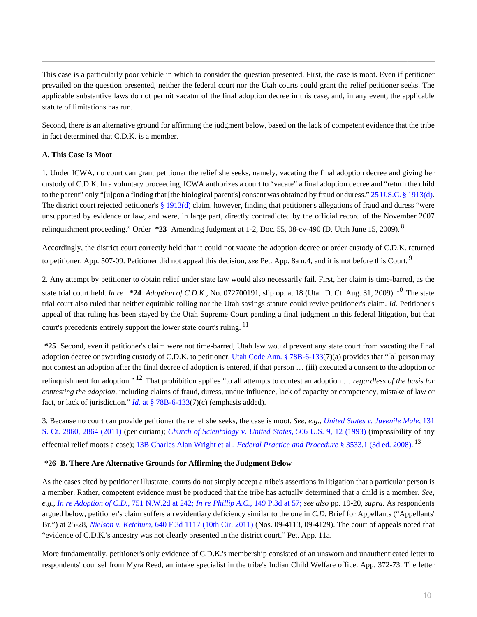This case is a particularly poor vehicle in which to consider the question presented. First, the case is moot. Even if petitioner prevailed on the question presented, neither the federal court nor the Utah courts could grant the relief petitioner seeks. The applicable substantive laws do not permit vacatur of the final adoption decree in this case, and, in any event, the applicable statute of limitations has run.

Second, there is an alternative ground for affirming the judgment below, based on the lack of competent evidence that the tribe in fact determined that C.D.K. is a member.

## **A. This Case Is Moot**

1. Under ICWA, no court can grant petitioner the relief she seeks, namely, vacating the final adoption decree and giving her custody of C.D.K. In a voluntary proceeding, ICWA authorizes a court to "vacate" a final adoption decree and "return the child to the parent" only "[u]pon a finding that [the biological parent's] consent was obtained by fraud or duress." [25 U.S.C. § 1913\(d\).](http://www.westlaw.com/Link/Document/FullText?findType=L&pubNum=1000546&cite=25USCAS1913&originationContext=document&vr=3.0&rs=cblt1.0&transitionType=DocumentItem&contextData=(sc.Search)#co_pp_5ba1000067d06) The district court rejected petitioner's  $\S 1913(d)$  claim, however, finding that petitioner's allegations of fraud and duress "were unsupported by evidence or law, and were, in large part, directly contradicted by the official record of the November 2007 relinquishment proceeding." Order **\*23** Amending Judgment at 1-2, Doc. 55, 08-cv-490 (D. Utah June 15, 2009). <sup>8</sup>

Accordingly, the district court correctly held that it could not vacate the adoption decree or order custody of C.D.K. returned to petitioner. App. 507-09. Petitioner did not appeal this decision, *see* Pet. App. 8a n.4, and it is not before this Court. <sup>9</sup>

2. Any attempt by petitioner to obtain relief under state law would also necessarily fail. First, her claim is time-barred, as the state trial court held. *In re* **\*24** *Adoption of C.D.K.,* No. 072700191, slip op. at 18 (Utah D. Ct. Aug. 31, 2009). <sup>10</sup> The state trial court also ruled that neither equitable tolling nor the Utah savings statute could revive petitioner's claim. *Id.* Petitioner's appeal of that ruling has been stayed by the Utah Supreme Court pending a final judgment in this federal litigation, but that court's precedents entirely support the lower state court's ruling. <sup>11</sup>

**\*25** Second, even if petitioner's claim were not time-barred, Utah law would prevent any state court from vacating the final adoption decree or awarding custody of C.D.K. to petitioner. [Utah Code Ann. § 78B-6-133](http://www.westlaw.com/Link/Document/FullText?findType=L&pubNum=1000511&cite=UTSTS78B-6-133&originatingDoc=I7762e5e068cd11e1be29b2facdefeebe&refType=LQ&originationContext=document&vr=3.0&rs=cblt1.0&transitionType=DocumentItem&contextData=(sc.Search))(7)(a) provides that "[a] person may not contest an adoption after the final decree of adoption is entered, if that person … (iii) executed a consent to the adoption or relinquishment for adoption." <sup>12</sup> That prohibition applies "to all attempts to contest an adoption … *regardless of the basis for contesting the adoption,* including claims of fraud, duress, undue influence, lack of capacity or competency, mistake of law or fact, or lack of jurisdiction." *Id.* [at § 78B-6-133\(](http://www.westlaw.com/Link/Document/FullText?findType=L&pubNum=1000511&cite=UTSTS78B-6-133&originatingDoc=I7762e5e068cd11e1be29b2facdefeebe&refType=LQ&originationContext=document&vr=3.0&rs=cblt1.0&transitionType=DocumentItem&contextData=(sc.Search))7)(c) (emphasis added).

3. Because no court can provide petitioner the relief she seeks, the case is moot. *See, e.g., [United States v. Juvenile Male,](http://www.westlaw.com/Link/Document/FullText?findType=Y&serNum=2025554569&pubNum=708&originationContext=document&vr=3.0&rs=cblt1.0&transitionType=DocumentItem&contextData=(sc.Search)#co_pp_sp_708_2864)* 131 [S. Ct. 2860, 2864 \(2011\)](http://www.westlaw.com/Link/Document/FullText?findType=Y&serNum=2025554569&pubNum=708&originationContext=document&vr=3.0&rs=cblt1.0&transitionType=DocumentItem&contextData=(sc.Search)#co_pp_sp_708_2864) (per curiam); *[Church of Scientology v. United States,](http://www.westlaw.com/Link/Document/FullText?findType=Y&serNum=1992195210&pubNum=780&originationContext=document&vr=3.0&rs=cblt1.0&transitionType=DocumentItem&contextData=(sc.Search)#co_pp_sp_780_12)* 506 U.S. 9, 12 (1993) (impossibility of any effectual relief moots a case); 13B Charles Alan Wright et al., *[Federal Practice and Procedure](http://www.westlaw.com/Link/Document/FullText?findType=Y&serNum=0341763090&pubNum=0102228&originationContext=document&vr=3.0&rs=cblt1.0&transitionType=DocumentItem&contextData=(sc.Search))* § 3533.1 (3d ed. 2008). 13

## **\*26 B. There Are Alternative Grounds for Affirming the Judgment Below**

As the cases cited by petitioner illustrate, courts do not simply accept a tribe's assertions in litigation that a particular person is a member. Rather, competent evidence must be produced that the tribe has actually determined that a child is a member. *See, e.g., [In re Adoption of C.D.,](http://www.westlaw.com/Link/Document/FullText?findType=Y&serNum=2016386663&pubNum=595&originationContext=document&vr=3.0&rs=cblt1.0&transitionType=DocumentItem&contextData=(sc.Search)#co_pp_sp_595_242)* 751 N.W.2d at 242; *[In re Phillip A.C.,](http://www.westlaw.com/Link/Document/FullText?findType=Y&serNum=2010992156&pubNum=4645&originationContext=document&vr=3.0&rs=cblt1.0&transitionType=DocumentItem&contextData=(sc.Search)#co_pp_sp_4645_57)* 149 P.3d at 57; *see also* pp. 19-20, *supra.* As respondents argued below, petitioner's claim suffers an evidentiary deficiency similar to the one in *C.D.* Brief for Appellants ("Appellants' Br.") at 25-28, *Nielson v. Ketchum,* [640 F.3d 1117 \(10th Cir. 2011\)](http://www.westlaw.com/Link/Document/FullText?findType=Y&serNum=2024939947&pubNum=506&originationContext=document&vr=3.0&rs=cblt1.0&transitionType=DocumentItem&contextData=(sc.Search)) (Nos. 09-4113, 09-4129). The court of appeals noted that "evidence of C.D.K.'s ancestry was not clearly presented in the district court." Pet. App. 11a.

More fundamentally, petitioner's only evidence of C.D.K.'s membership consisted of an unsworn and unauthenticated letter to respondents' counsel from Myra Reed, an intake specialist in the tribe's Indian Child Welfare office. App. 372-73. The letter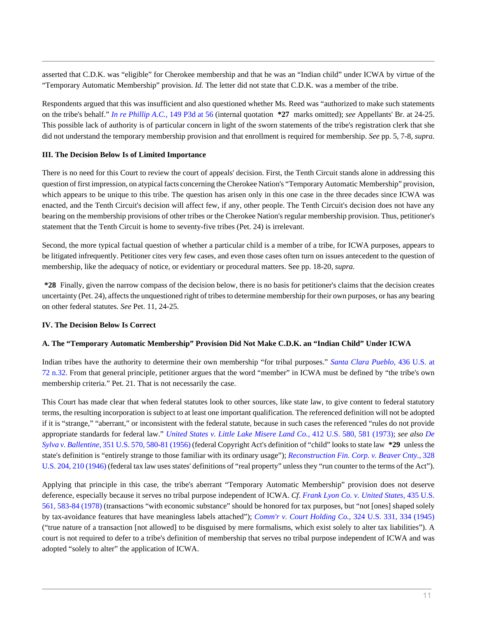asserted that C.D.K. was "eligible" for Cherokee membership and that he was an "Indian child" under ICWA by virtue of the "Temporary Automatic Membership" provision. *Id.* The letter did not state that C.D.K. was a member of the tribe.

Respondents argued that this was insufficient and also questioned whether Ms. Reed was "authorized to make such statements on the tribe's behalf." *[In re Phillip A.C.,](http://www.westlaw.com/Link/Document/FullText?findType=Y&serNum=2010992156&pubNum=4645&originationContext=document&vr=3.0&rs=cblt1.0&transitionType=DocumentItem&contextData=(sc.Search)#co_pp_sp_4645_56)* 149 P3d at 56 (internal quotation **\*27** marks omitted); *see* Appellants' Br. at 24-25. This possible lack of authority is of particular concern in light of the sworn statements of the tribe's registration clerk that she did not understand the temporary membership provision and that enrollment is required for membership. *See* pp. 5, 7-8, *supra.*

## **III. The Decision Below Is of Limited Importance**

There is no need for this Court to review the court of appeals' decision. First, the Tenth Circuit stands alone in addressing this question of first impression, on atypical facts concerning the Cherokee Nation's "Temporary Automatic Membership" provision, which appears to be unique to this tribe. The question has arisen only in this one case in the three decades since ICWA was enacted, and the Tenth Circuit's decision will affect few, if any, other people. The Tenth Circuit's decision does not have any bearing on the membership provisions of other tribes or the Cherokee Nation's regular membership provision. Thus, petitioner's statement that the Tenth Circuit is home to seventy-five tribes (Pet. 24) is irrelevant.

Second, the more typical factual question of whether a particular child is a member of a tribe, for ICWA purposes, appears to be litigated infrequently. Petitioner cites very few cases, and even those cases often turn on issues antecedent to the question of membership, like the adequacy of notice, or evidentiary or procedural matters. See pp. 18-20, *supra.*

**\*28** Finally, given the narrow compass of the decision below, there is no basis for petitioner's claims that the decision creates uncertainty (Pet. 24), affects the unquestioned right of tribes to determine membership for their own purposes, or has any bearing on other federal statutes. *See* Pet. 11, 24-25.

## **IV. The Decision Below Is Correct**

## **A. The "Temporary Automatic Membership" Provision Did Not Make C.D.K. an "Indian Child" Under ICWA**

Indian tribes have the authority to determine their own membership "for tribal purposes." *[Santa Clara Pueblo,](http://www.westlaw.com/Link/Document/FullText?findType=Y&serNum=1978114228&pubNum=780&originationContext=document&vr=3.0&rs=cblt1.0&transitionType=DocumentItem&contextData=(sc.Search)#co_pp_sp_780_72)* 436 U.S. at [72 n.32.](http://www.westlaw.com/Link/Document/FullText?findType=Y&serNum=1978114228&pubNum=780&originationContext=document&vr=3.0&rs=cblt1.0&transitionType=DocumentItem&contextData=(sc.Search)#co_pp_sp_780_72) From that general principle, petitioner argues that the word "member" in ICWA must be defined by "the tribe's own membership criteria." Pet. 21. That is not necessarily the case.

This Court has made clear that when federal statutes look to other sources, like state law, to give content to federal statutory terms, the resulting incorporation is subject to at least one important qualification. The referenced definition will not be adopted if it is "strange," "aberrant," or inconsistent with the federal statute, because in such cases the referenced "rules do not provide appropriate standards for federal law." *[United States v. Little Lake Misere Land Co.,](http://www.westlaw.com/Link/Document/FullText?findType=Y&serNum=1973126425&pubNum=780&originationContext=document&vr=3.0&rs=cblt1.0&transitionType=DocumentItem&contextData=(sc.Search)#co_pp_sp_780_581)* 412 U.S. 580, 581 (1973); *see also [De](http://www.westlaw.com/Link/Document/FullText?findType=Y&serNum=1956108052&pubNum=780&originationContext=document&vr=3.0&rs=cblt1.0&transitionType=DocumentItem&contextData=(sc.Search)#co_pp_sp_780_580) Sylva v. Ballentine,* [351 U.S. 570, 580-81 \(1956\)](http://www.westlaw.com/Link/Document/FullText?findType=Y&serNum=1956108052&pubNum=780&originationContext=document&vr=3.0&rs=cblt1.0&transitionType=DocumentItem&contextData=(sc.Search)#co_pp_sp_780_580) (federal Copyright Act's definition of "child" looks to state law **\*29** unless the state's definition is "entirely strange to those familiar with its ordinary usage"); *[Reconstruction Fin. Corp. v. Beaver Cnty.,](http://www.westlaw.com/Link/Document/FullText?findType=Y&serNum=1946114888&pubNum=780&originationContext=document&vr=3.0&rs=cblt1.0&transitionType=DocumentItem&contextData=(sc.Search)#co_pp_sp_780_210)* 328 [U.S. 204, 210 \(1946\)](http://www.westlaw.com/Link/Document/FullText?findType=Y&serNum=1946114888&pubNum=780&originationContext=document&vr=3.0&rs=cblt1.0&transitionType=DocumentItem&contextData=(sc.Search)#co_pp_sp_780_210) (federal tax law uses states' definitions of "real property" unless they "run counter to the terms of the Act").

Applying that principle in this case, the tribe's aberrant "Temporary Automatic Membership" provision does not deserve deference, especially because it serves no tribal purpose independent of ICWA. *Cf. [Frank Lyon Co. v. United States,](http://www.westlaw.com/Link/Document/FullText?findType=Y&serNum=1978114216&pubNum=780&originationContext=document&vr=3.0&rs=cblt1.0&transitionType=DocumentItem&contextData=(sc.Search)#co_pp_sp_780_583)* 435 U.S. [561, 583-84 \(1978\)](http://www.westlaw.com/Link/Document/FullText?findType=Y&serNum=1978114216&pubNum=780&originationContext=document&vr=3.0&rs=cblt1.0&transitionType=DocumentItem&contextData=(sc.Search)#co_pp_sp_780_583) (transactions "with economic substance" should be honored for tax purposes, but "not [ones] shaped solely by tax-avoidance features that have meaningless labels attached"); *[Comm'r v. Court Holding Co.,](http://www.westlaw.com/Link/Document/FullText?findType=Y&serNum=1945114063&pubNum=780&originationContext=document&vr=3.0&rs=cblt1.0&transitionType=DocumentItem&contextData=(sc.Search)#co_pp_sp_780_334)* 324 U.S. 331, 334 (1945) ("true nature of a transaction [not allowed] to be disguised by mere formalisms, which exist solely to alter tax liabilities"). A court is not required to defer to a tribe's definition of membership that serves no tribal purpose independent of ICWA and was adopted "solely to alter" the application of ICWA.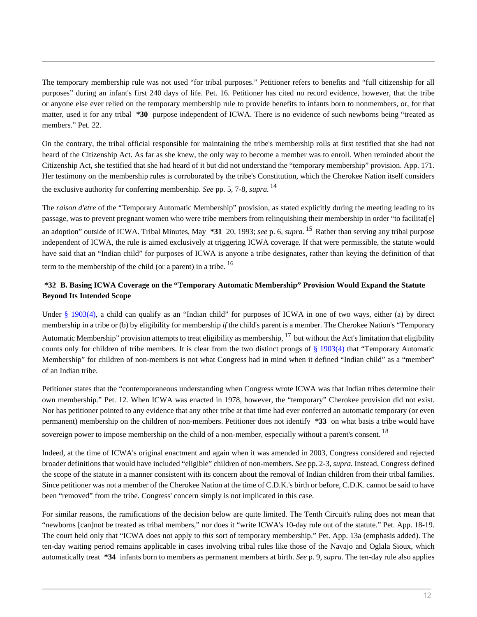The temporary membership rule was not used "for tribal purposes." Petitioner refers to benefits and "full citizenship for all purposes" during an infant's first 240 days of life. Pet. 16. Petitioner has cited no record evidence, however, that the tribe or anyone else ever relied on the temporary membership rule to provide benefits to infants born to nonmembers, or, for that matter, used it for any tribal **\*30** purpose independent of ICWA. There is no evidence of such newborns being "treated as members." Pet. 22.

On the contrary, the tribal official responsible for maintaining the tribe's membership rolls at first testified that she had not heard of the Citizenship Act. As far as she knew, the only way to become a member was to enroll. When reminded about the Citizenship Act, she testified that she had heard of it but did not understand the "temporary membership" provision. App. 171. Her testimony on the membership rules is corroborated by the tribe's Constitution, which the Cherokee Nation itself considers the exclusive authority for conferring membership. *See* pp. 5, 7-8, *supra.* 14

The *raison d'etre* of the "Temporary Automatic Membership" provision, as stated explicitly during the meeting leading to its passage, was to prevent pregnant women who were tribe members from relinquishing their membership in order "to facilitat[e] an adoption" outside of ICWA. Tribal Minutes, May **\*31** 20, 1993; *see* p. 6, *supra.* <sup>15</sup> Rather than serving any tribal purpose independent of ICWA, the rule is aimed exclusively at triggering ICWA coverage. If that were permissible, the statute would have said that an "Indian child" for purposes of ICWA is anyone a tribe designates, rather than keying the definition of that term to the membership of the child (or a parent) in a tribe.  $16$ 

# **\*32 B. Basing ICWA Coverage on the "Temporary Automatic Membership" Provision Would Expand the Statute Beyond Its Intended Scope**

Under [§ 1903\(4\),](http://www.westlaw.com/Link/Document/FullText?findType=L&pubNum=1000546&cite=25USCAS1903&originationContext=document&vr=3.0&rs=cblt1.0&transitionType=DocumentItem&contextData=(sc.Search)#co_pp_0bd500007a412) a child can qualify as an "Indian child" for purposes of ICWA in one of two ways, either (a) by direct membership in a tribe or (b) by eligibility for membership *if* the child's parent is a member. The Cherokee Nation's "Temporary Automatic Membership" provision attempts to treat eligibility as membership,  $^{17}$  but without the Act's limitation that eligibility counts only for children of tribe members. It is clear from the two distinct prongs of  $\S$  1903(4) that "Temporary Automatic Membership" for children of non-members is not what Congress had in mind when it defined "Indian child" as a "member" of an Indian tribe.

Petitioner states that the "contemporaneous understanding when Congress wrote ICWA was that Indian tribes determine their own membership." Pet. 12. When ICWA was enacted in 1978, however, the "temporary" Cherokee provision did not exist. Nor has petitioner pointed to any evidence that any other tribe at that time had ever conferred an automatic temporary (or even permanent) membership on the children of non-members. Petitioner does not identify **\*33** on what basis a tribe would have sovereign power to impose membership on the child of a non-member, especially without a parent's consent. <sup>18</sup>

Indeed, at the time of ICWA's original enactment and again when it was amended in 2003, Congress considered and rejected broader definitions that would have included "eligible" children of non-members. *See* pp. 2-3, *supra.* Instead, Congress defined the scope of the statute in a manner consistent with its concern about the removal of Indian children from their tribal families. Since petitioner was not a member of the Cherokee Nation at the time of C.D.K.'s birth or before, C.D.K. cannot be said to have been "removed" from the tribe. Congress' concern simply is not implicated in this case.

For similar reasons, the ramifications of the decision below are quite limited. The Tenth Circuit's ruling does not mean that "newborns [can]not be treated as tribal members," nor does it "write ICWA's 10-day rule out of the statute." Pet. App. 18-19. The court held only that "ICWA does not apply to *this* sort of temporary membership." Pet. App. 13a (emphasis added). The ten-day waiting period remains applicable in cases involving tribal rules like those of the Navajo and Oglala Sioux, which automatically treat **\*34** infants born to members as permanent members at birth. *See* p. 9, *supra.* The ten-day rule also applies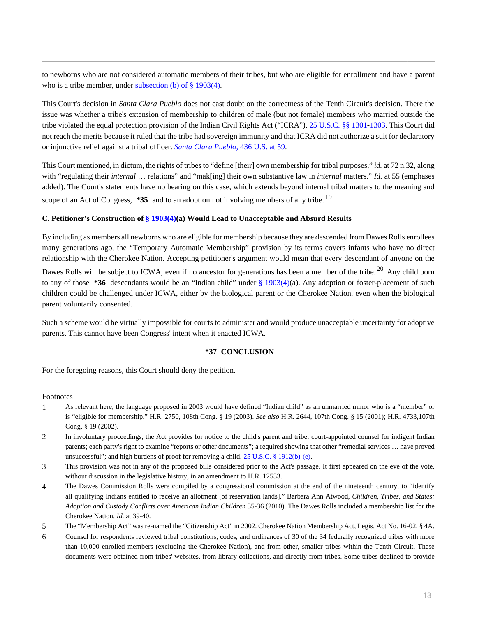to newborns who are not considered automatic members of their tribes, but who are eligible for enrollment and have a parent who is a tribe member, under [subsection \(b\) of § 1903\(4\).](http://www.westlaw.com/Link/Document/FullText?findType=L&pubNum=1000546&cite=25USCAS1903&originatingDoc=I7762e5e068cd11e1be29b2facdefeebe&refType=LQ&originationContext=document&vr=3.0&rs=cblt1.0&transitionType=DocumentItem&contextData=(sc.Search))

This Court's decision in *Santa Clara Pueblo* does not cast doubt on the correctness of the Tenth Circuit's decision. There the issue was whether a tribe's extension of membership to children of male (but not female) members who married outside the tribe violated the equal protection provision of the Indian Civil Rights Act ("ICRA"), [25 U.S.C. §§ 1301](http://www.westlaw.com/Link/Document/FullText?findType=L&pubNum=1000546&cite=25USCAS1301&originatingDoc=I7762e5e068cd11e1be29b2facdefeebe&refType=LQ&originationContext=document&vr=3.0&rs=cblt1.0&transitionType=DocumentItem&contextData=(sc.Search))-[1303.](http://www.westlaw.com/Link/Document/FullText?findType=L&pubNum=1000546&cite=25USCAS1303&originatingDoc=I7762e5e068cd11e1be29b2facdefeebe&refType=LQ&originationContext=document&vr=3.0&rs=cblt1.0&transitionType=DocumentItem&contextData=(sc.Search)) This Court did not reach the merits because it ruled that the tribe had sovereign immunity and that ICRA did not authorize a suit for declaratory or injunctive relief against a tribal officer. *[Santa Clara Pueblo,](http://www.westlaw.com/Link/Document/FullText?findType=Y&serNum=1978114228&pubNum=780&originationContext=document&vr=3.0&rs=cblt1.0&transitionType=DocumentItem&contextData=(sc.Search)#co_pp_sp_780_59)* 436 U.S. at 59.

This Court mentioned, in dictum, the rights of tribes to "define [their] own membership for tribal purposes," *id.* at 72 n.32, along with "regulating their *internal* … relations" and "mak[ing] their own substantive law in *internal* matters." *Id.* at 55 (emphases added). The Court's statements have no bearing on this case, which extends beyond internal tribal matters to the meaning and scope of an Act of Congress, **\*35** and to an adoption not involving members of any tribe. <sup>19</sup>

## **C. Petitioner's Construction of [§ 1903\(4\)](http://www.westlaw.com/Link/Document/FullText?findType=L&pubNum=1000546&cite=25USCAS1903&originationContext=document&vr=3.0&rs=cblt1.0&transitionType=DocumentItem&contextData=(sc.Search)#co_pp_0bd500007a412)(a) Would Lead to Unacceptable and Absurd Results**

By including as members all newborns who are eligible for membership because they are descended from Dawes Rolls enrollees many generations ago, the "Temporary Automatic Membership" provision by its terms covers infants who have no direct relationship with the Cherokee Nation. Accepting petitioner's argument would mean that every descendant of anyone on the Dawes Rolls will be subject to ICWA, even if no ancestor for generations has been a member of the tribe.<sup>20</sup> Any child born to any of those **\*36** descendants would be an "Indian child" under [§ 1903\(4\)\(](http://www.westlaw.com/Link/Document/FullText?findType=L&pubNum=1000546&cite=25USCAS1903&originationContext=document&vr=3.0&rs=cblt1.0&transitionType=DocumentItem&contextData=(sc.Search)#co_pp_0bd500007a412)a). Any adoption or foster-placement of such children could be challenged under ICWA, either by the biological parent or the Cherokee Nation, even when the biological parent voluntarily consented.

Such a scheme would be virtually impossible for courts to administer and would produce unacceptable uncertainty for adoptive parents. This cannot have been Congress' intent when it enacted ICWA.

### **\*37 CONCLUSION**

For the foregoing reasons, this Court should deny the petition.

### Footnotes

- 1 As relevant here, the language proposed in 2003 would have defined "Indian child" as an unmarried minor who is a "member" or is "eligible for membership." H.R. 2750, 108th Cong. § 19 (2003). *See also* H.R. 2644, 107th Cong. § 15 (2001); H.R. 4733,107th Cong. § 19 (2002).
- 2 In involuntary proceedings, the Act provides for notice to the child's parent and tribe; court-appointed counsel for indigent Indian parents; each party's right to examine "reports or other documents"; a required showing that other "remedial services … have proved unsuccessful"; and high burdens of proof for removing a child. [25 U.S.C. § 1912\(b\)-](http://www.westlaw.com/Link/Document/FullText?findType=L&pubNum=1000546&cite=25USCAS1912&originationContext=document&vr=3.0&rs=cblt1.0&transitionType=DocumentItem&contextData=(sc.Search)#co_pp_a83b000018c76)[\(e\).](http://www.westlaw.com/Link/Document/FullText?findType=L&pubNum=1000546&cite=25USCAS1912&originationContext=document&vr=3.0&rs=cblt1.0&transitionType=DocumentItem&contextData=(sc.Search)#co_pp_7fdd00001ca15)
- 3 This provision was not in any of the proposed bills considered prior to the Act's passage. It first appeared on the eve of the vote, without discussion in the legislative history, in an amendment to H.R. 12533.
- 4 The Dawes Commission Rolls were compiled by a congressional commission at the end of the nineteenth century, to "identify all qualifying Indians entitled to receive an allotment [of reservation lands]." Barbara Ann Atwood, *Children, Tribes, and States: Adoption and Custody Conflicts over American Indian Children* 35-36 (2010). The Dawes Rolls included a membership list for the Cherokee Nation. *Id.* at 39-40.
- 5 The "Membership Act" was re-named the "Citizenship Act" in 2002. Cherokee Nation Membership Act, Legis. Act No. 16-02, § 4A.
- 6 Counsel for respondents reviewed tribal constitutions, codes, and ordinances of 30 of the 34 federally recognized tribes with more than 10,000 enrolled members (excluding the Cherokee Nation), and from other, smaller tribes within the Tenth Circuit. These documents were obtained from tribes' websites, from library collections, and directly from tribes. Some tribes declined to provide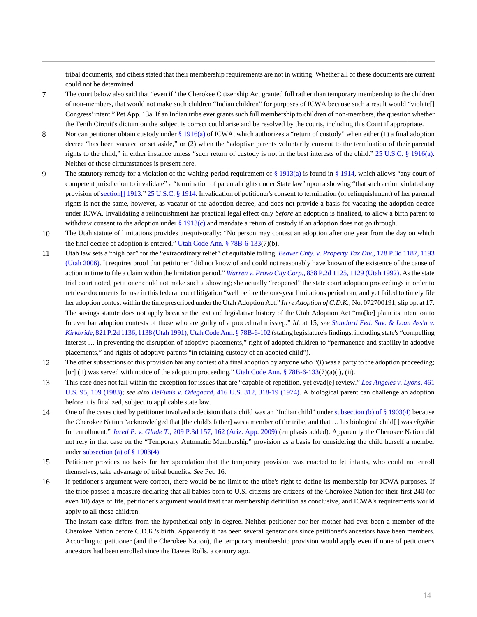tribal documents, and others stated that their membership requirements are not in writing. Whether all of these documents are current could not be determined.

- 7 The court below also said that "even if" the Cherokee Citizenship Act granted full rather than temporary membership to the children of non-members, that would not make such children "Indian children" for purposes of ICWA because such a result would "violate[] Congress' intent." Pet App. 13a. If an Indian tribe ever grants such full membership to children of non-members, the question whether the Tenth Circuit's dictum on the subject is correct could arise and be resolved by the courts, including this Court if appropriate.
- 8 Nor can petitioner obtain custody under [§ 1916\(a\)](http://www.westlaw.com/Link/Document/FullText?findType=L&pubNum=1000546&cite=25USCAS1916&originationContext=document&vr=3.0&rs=cblt1.0&transitionType=DocumentItem&contextData=(sc.Search)#co_pp_8b3b0000958a4) of ICWA, which authorizes a "return of custody" when either (1) a final adoption decree "has been vacated or set aside," or (2) when the "adoptive parents voluntarily consent to the termination of their parental rights to the child," in either instance unless "such return of custody is not in the best interests of the child." [25 U.S.C. § 1916\(a\).](http://www.westlaw.com/Link/Document/FullText?findType=L&pubNum=1000546&cite=25USCAS1916&originationContext=document&vr=3.0&rs=cblt1.0&transitionType=DocumentItem&contextData=(sc.Search)#co_pp_8b3b0000958a4) Neither of those circumstances is present here.
- 9 The statutory remedy for a violation of the waiting-period requirement of  $\S 1913(a)$  is found in  $\S 1914$ , which allows "any court of competent jurisdiction to invalidate" a "termination of parental rights under State law" upon a showing "that such action violated any provision of [section\[\] 1913](http://www.westlaw.com/Link/Document/FullText?findType=L&pubNum=1000546&cite=25USCAS1913&originatingDoc=I7762e5e068cd11e1be29b2facdefeebe&refType=LQ&originationContext=document&vr=3.0&rs=cblt1.0&transitionType=DocumentItem&contextData=(sc.Search))." [25 U.S.C. § 1914](http://www.westlaw.com/Link/Document/FullText?findType=L&pubNum=1000546&cite=25USCAS1914&originatingDoc=I7762e5e068cd11e1be29b2facdefeebe&refType=LQ&originationContext=document&vr=3.0&rs=cblt1.0&transitionType=DocumentItem&contextData=(sc.Search)). Invalidation of petitioner's consent to termination (or relinquishment) of her parental rights is not the same, however, as vacatur of the adoption decree, and does not provide a basis for vacating the adoption decree under ICWA. Invalidating a relinquishment has practical legal effect only *before* an adoption is finalized, to allow a birth parent to withdraw consent to the adoption under  $\S$  1913(c) and mandate a return of custody if an adoption does not go through.
- 10 The Utah statute of limitations provides unequivocally: "No person may contest an adoption after one year from the day on which the final decree of adoption is entered." [Utah Code Ann. § 78B-6-133](http://www.westlaw.com/Link/Document/FullText?findType=L&pubNum=1000511&cite=UTSTS78B-6-133&originatingDoc=I7762e5e068cd11e1be29b2facdefeebe&refType=LQ&originationContext=document&vr=3.0&rs=cblt1.0&transitionType=DocumentItem&contextData=(sc.Search))(7)(b).
- 11 Utah law sets a "high bar" for the "extraordinary relief" of equitable tolling. *[Beaver Cnty. v. Property Tax Div.,](http://www.westlaw.com/Link/Document/FullText?findType=Y&serNum=2008254306&pubNum=4645&originationContext=document&vr=3.0&rs=cblt1.0&transitionType=DocumentItem&contextData=(sc.Search)#co_pp_sp_4645_1193)* 128 P.3d 1187, 1193 [\(Utah 2006\).](http://www.westlaw.com/Link/Document/FullText?findType=Y&serNum=2008254306&pubNum=4645&originationContext=document&vr=3.0&rs=cblt1.0&transitionType=DocumentItem&contextData=(sc.Search)#co_pp_sp_4645_1193) It requires proof that petitioner "did not know of and could not reasonably have known of the existence of the cause of action in time to file a claim within the limitation period." *Warren v. Provo City Corp.,* [838 P.2d 1125, 1129 \(Utah 1992\).](http://www.westlaw.com/Link/Document/FullText?findType=Y&serNum=1992168203&pubNum=661&originationContext=document&vr=3.0&rs=cblt1.0&transitionType=DocumentItem&contextData=(sc.Search)#co_pp_sp_661_1129) As the state trial court noted, petitioner could not make such a showing; she actually "reopened" the state court adoption proceedings in order to retrieve documents for use in this federal court litigation "well before the one-year limitations period ran, and yet failed to timely file her adoption contest within the time prescribed under the Utah Adoption Act." *In re Adoption of C.D.K.,* No. 072700191, slip op. at 17. The savings statute does not apply because the text and legislative history of the Utah Adoption Act "ma[ke] plain its intention to forever bar adoption contests of those who are guilty of a procedural misstep." *Id.* at 15; *see [Standard Fed. Sav. & Loan Ass'n v.](http://www.westlaw.com/Link/Document/FullText?findType=Y&serNum=1991094801&pubNum=661&originationContext=document&vr=3.0&rs=cblt1.0&transitionType=DocumentItem&contextData=(sc.Search)#co_pp_sp_661_1138) Kirkbride,* [821 P.2d 1136, 1138 \(Utah 1991\);](http://www.westlaw.com/Link/Document/FullText?findType=Y&serNum=1991094801&pubNum=661&originationContext=document&vr=3.0&rs=cblt1.0&transitionType=DocumentItem&contextData=(sc.Search)#co_pp_sp_661_1138) [Utah Code Ann. § 78B-6-102](http://www.westlaw.com/Link/Document/FullText?findType=L&pubNum=1000511&cite=UTSTS78B-6-102&originatingDoc=I7762e5e068cd11e1be29b2facdefeebe&refType=LQ&originationContext=document&vr=3.0&rs=cblt1.0&transitionType=DocumentItem&contextData=(sc.Search)) (stating legislature's findings, including state's "compelling interest … in preventing the disruption of adoptive placements," right of adopted children to "permanence and stability in adoptive placements," and rights of adoptive parents "in retaining custody of an adopted child").
- 12 The other subsections of this provision bar any contest of a final adoption by anyone who "(i) was a party to the adoption proceeding; [or] (ii) was served with notice of the adoption proceeding." [Utah Code Ann. § 78B-6-133](http://www.westlaw.com/Link/Document/FullText?findType=L&pubNum=1000511&cite=UTSTS78B-6-133&originatingDoc=I7762e5e068cd11e1be29b2facdefeebe&refType=LQ&originationContext=document&vr=3.0&rs=cblt1.0&transitionType=DocumentItem&contextData=(sc.Search))(7)(a)(i), (ii).
- 13 This case does not fall within the exception for issues that are "capable of repetition, yet evad[e] review." *[Los Angeles v. Lyons,](http://www.westlaw.com/Link/Document/FullText?findType=Y&serNum=1983118235&pubNum=780&originationContext=document&vr=3.0&rs=cblt1.0&transitionType=DocumentItem&contextData=(sc.Search)#co_pp_sp_780_109)* 461 [U.S. 95, 109 \(1983\)](http://www.westlaw.com/Link/Document/FullText?findType=Y&serNum=1983118235&pubNum=780&originationContext=document&vr=3.0&rs=cblt1.0&transitionType=DocumentItem&contextData=(sc.Search)#co_pp_sp_780_109); *see also DeFunis v. Odegaard,* [416 U.S. 312, 318-19 \(1974\)](http://www.westlaw.com/Link/Document/FullText?findType=Y&serNum=1974127166&pubNum=780&originationContext=document&vr=3.0&rs=cblt1.0&transitionType=DocumentItem&contextData=(sc.Search)#co_pp_sp_780_318). A biological parent can challenge an adoption before it is finalized, subject to applicable state law.
- 14 One of the cases cited by petitioner involved a decision that a child was an "Indian child" under [subsection \(b\) of § 1903\(4\)](http://www.westlaw.com/Link/Document/FullText?findType=L&pubNum=1000546&cite=25USCAS1903&originatingDoc=I7762e5e068cd11e1be29b2facdefeebe&refType=LQ&originationContext=document&vr=3.0&rs=cblt1.0&transitionType=DocumentItem&contextData=(sc.Search)) because the Cherokee Nation "acknowledged that [the child's father] was a member of the tribe, and that … his biological child[ ] was *eligible* for enrollment." *Jared P. v. Glade T.,* [209 P.3d 157, 162 \(Ariz. App. 2009\)](http://www.westlaw.com/Link/Document/FullText?findType=Y&serNum=2018203995&pubNum=4645&originationContext=document&vr=3.0&rs=cblt1.0&transitionType=DocumentItem&contextData=(sc.Search)#co_pp_sp_4645_162) (emphasis added). Apparently the Cherokee Nation did not rely in that case on the "Temporary Automatic Membership" provision as a basis for considering the child herself a member under [subsection \(a\) of § 1903\(4\)](http://www.westlaw.com/Link/Document/FullText?findType=L&pubNum=1000546&cite=25USCAS1903&originatingDoc=I7762e5e068cd11e1be29b2facdefeebe&refType=LQ&originationContext=document&vr=3.0&rs=cblt1.0&transitionType=DocumentItem&contextData=(sc.Search)).
- 15 Petitioner provides no basis for her speculation that the temporary provision was enacted to let infants, who could not enroll themselves, take advantage of tribal benefits. *See* Pet. 16.
- 16 If petitioner's argument were correct, there would be no limit to the tribe's right to define its membership for ICWA purposes. If the tribe passed a measure declaring that all babies born to U.S. citizens are citizens of the Cherokee Nation for their first 240 (or even 10) days of life, petitioner's argument would treat that membership definition as conclusive, and ICWA's requirements would apply to all those children.

The instant case differs from the hypothetical only in degree. Neither petitioner nor her mother had ever been a member of the Cherokee Nation before C.D.K.'s birth. Apparently it has been several generations since petitioner's ancestors have been members. According to petitioner (and the Cherokee Nation), the temporary membership provision would apply even if none of petitioner's ancestors had been enrolled since the Dawes Rolls, a century ago.